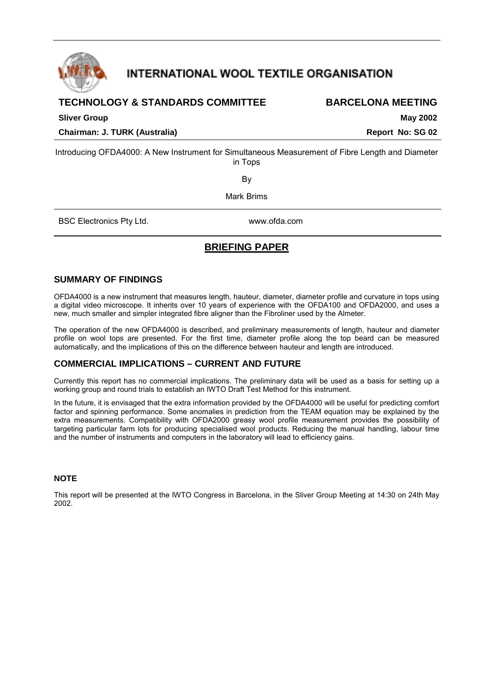<span id="page-0-0"></span>

# **INTERNATIONAL WOOL TEXTILE ORGANISATION**

# **TECHNOLOGY & STANDARDS COMMITTEE BARCELONA MEETING**

**Chairman: J. TURK (Australia)** The Controllering of the Chairman: J. TURK (Australia) Report No: SG 02

**Sliver Group May 2002** 

Introducing OFDA4000: A New Instrument for Simultaneous Measurement of Fibre Length and Diameter in Tops

By

Mark Brims

BSC Electronics Pty Ltd. www.ofda.com

# **BRIEFING PAPER**

### **SUMMARY OF FINDINGS**

OFDA4000 is a new instrument that measures length, hauteur, diameter, diameter profile and curvature in tops using a digital video microscope. It inherits over 10 years of experience with the OFDA100 and OFDA2000, and uses a new, much smaller and simpler integrated fibre aligner than the Fibroliner used by the Almeter.

The operation of the new OFDA4000 is described, and preliminary measurements of length, hauteur and diameter profile on wool tops are presented. For the first time, diameter profile along the top beard can be measured automatically, and the implications of this on the difference between hauteur and length are introduced.

## **COMMERCIAL IMPLICATIONS – CURRENT AND FUTURE**

Currently this report has no commercial implications. The preliminary data will be used as a basis for setting up a working group and round trials to establish an IWTO Draft Test Method for this instrument.

In the future, it is envisaged that the extra information provided by the OFDA4000 will be useful for predicting comfort factor and spinning performance. Some anomalies in prediction from the TEAM equation may be explained by the extra measurements. Compatibility with OFDA2000 greasy wool profile measurement provides the possibility of targeting particular farm lots for producing specialised wool products. Reducing the manual handling, labour time and the number of instruments and computers in the laboratory will lead to efficiency gains.

### **NOTE**

This report will be presented at the IWTO Congress in Barcelona, in the Sliver Group Meeting at 14:30 on 24th May 2002.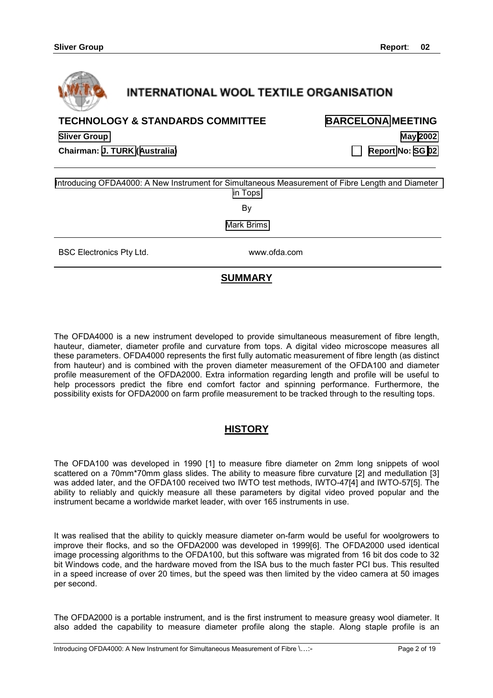

# **INTERNATIONAL WOOL TEXTILE ORGANISATION**

# **TECHNOLOGY & STANDARDS COMMITTEE [BARCELONA](#page-0-0) MEETING**

**[Sliver Group](#page-0-0) [May 2002](#page-0-0)** 

 $\overline{a}$ 

**Chairman: [J. TURK](#page-0-0) ([Australia\) Report](#page-0-0) No: [SG 02](#page-0-0)**

[Introducing OFDA4000: A New Instrument for Simultaneous Measurement of Fibre Length and Diameter](#page-0-0) [in Tops](#page-0-0)

By

[Mark Brims](#page-0-0)

BSC Electronics Pty Ltd. Www.ofda.com

# **SUMMARY**

The OFDA4000 is a new instrument developed to provide simultaneous measurement of fibre length, hauteur, diameter, diameter profile and curvature from tops. A digital video microscope measures all these parameters. OFDA4000 represents the first fully automatic measurement of fibre length (as distinct from hauteur) and is combined with the proven diameter measurement of the OFDA100 and diameter profile measurement of the OFDA2000. Extra information regarding length and profile will be useful to help processors predict the fibre end comfort factor and spinning performance. Furthermore, the possibility exists for OFDA2000 on farm profile measurement to be tracked through to the resulting tops.

# **HISTORY**

The OFDA100 was developed in 1990 [1] to measure fibre diameter on 2mm long snippets of wool scattered on a 70mm\*70mm glass slides. The ability to measure fibre curvature [2] and medullation [3] was added later, and the OFDA100 received two IWTO test methods, IWTO-47[4] and IWTO-57[5]. The ability to reliably and quickly measure all these parameters by digital video proved popular and the instrument became a worldwide market leader, with over 165 instruments in use.

It was realised that the ability to quickly measure diameter on-farm would be useful for woolgrowers to improve their flocks, and so the OFDA2000 was developed in 1999[6]. The OFDA2000 used identical image processing algorithms to the OFDA100, but this software was migrated from 16 bit dos code to 32 bit Windows code, and the hardware moved from the ISA bus to the much faster PCI bus. This resulted in a speed increase of over 20 times, but the speed was then limited by the video camera at 50 images per second.

The OFDA2000 is a portable instrument, and is the first instrument to measure greasy wool diameter. It also added the capability to measure diameter profile along the staple. Along staple profile is an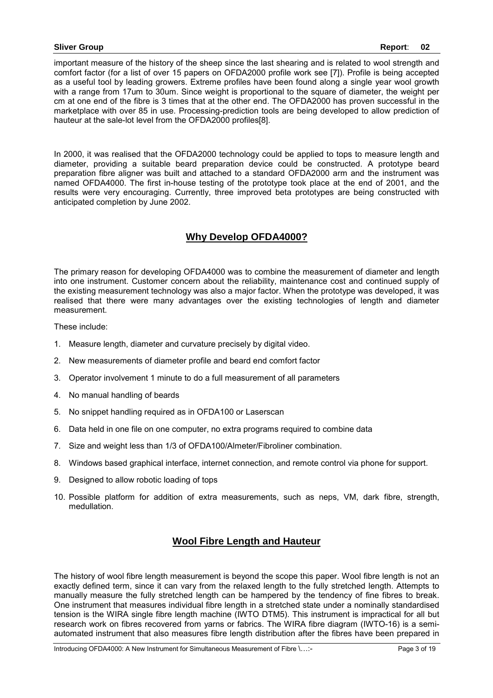important measure of the history of the sheep since the last shearing and is related to wool strength and comfort factor (for a list of over 15 papers on OFDA2000 profile work see [7]). Profile is being accepted as a useful tool by leading growers. Extreme profiles have been found along a single year wool growth with a range from 17um to 30um. Since weight is proportional to the square of diameter, the weight per cm at one end of the fibre is 3 times that at the other end. The OFDA2000 has proven successful in the marketplace with over 85 in use. Processing-prediction tools are being developed to allow prediction of hauteur at the sale-lot level from the OFDA2000 profiles[8].

In 2000, it was realised that the OFDA2000 technology could be applied to tops to measure length and diameter, providing a suitable beard preparation device could be constructed. A prototype beard preparation fibre aligner was built and attached to a standard OFDA2000 arm and the instrument was named OFDA4000. The first in-house testing of the prototype took place at the end of 2001, and the results were very encouraging. Currently, three improved beta prototypes are being constructed with anticipated completion by June 2002.

# **Why Develop OFDA4000?**

The primary reason for developing OFDA4000 was to combine the measurement of diameter and length into one instrument. Customer concern about the reliability, maintenance cost and continued supply of the existing measurement technology was also a major factor. When the prototype was developed, it was realised that there were many advantages over the existing technologies of length and diameter measurement.

These include:

- 1. Measure length, diameter and curvature precisely by digital video.
- 2. New measurements of diameter profile and beard end comfort factor
- 3. Operator involvement 1 minute to do a full measurement of all parameters
- 4. No manual handling of beards
- 5. No snippet handling required as in OFDA100 or Laserscan
- 6. Data held in one file on one computer, no extra programs required to combine data
- 7. Size and weight less than 1/3 of OFDA100/Almeter/Fibroliner combination.
- 8. Windows based graphical interface, internet connection, and remote control via phone for support.
- 9. Designed to allow robotic loading of tops
- 10. Possible platform for addition of extra measurements, such as neps, VM, dark fibre, strength, medullation.

# **Wool Fibre Length and Hauteur**

The history of wool fibre length measurement is beyond the scope this paper. Wool fibre length is not an exactly defined term, since it can vary from the relaxed length to the fully stretched length. Attempts to manually measure the fully stretched length can be hampered by the tendency of fine fibres to break. One instrument that measures individual fibre length in a stretched state under a nominally standardised tension is the WIRA single fibre length machine (IWTO DTM5). This instrument is impractical for all but research work on fibres recovered from yarns or fabrics. The WIRA fibre diagram (IWTO-16) is a semiautomated instrument that also measures fibre length distribution after the fibres have been prepared in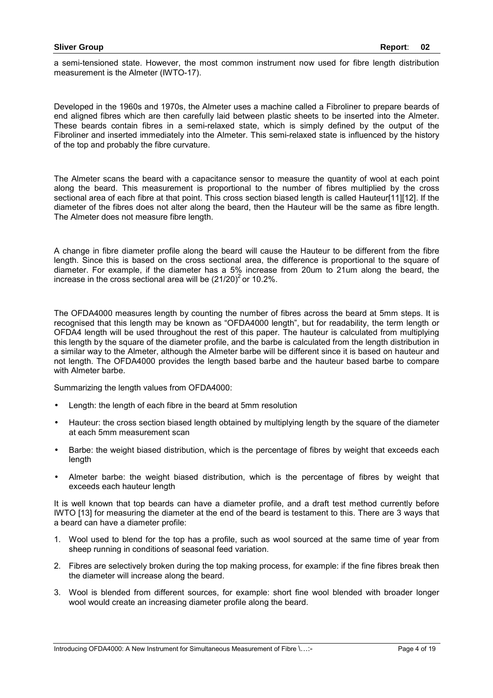a semi-tensioned state. However, the most common instrument now used for fibre length distribution measurement is the Almeter (IWTO-17).

Developed in the 1960s and 1970s, the Almeter uses a machine called a Fibroliner to prepare beards of end aligned fibres which are then carefully laid between plastic sheets to be inserted into the Almeter. These beards contain fibres in a semi-relaxed state, which is simply defined by the output of the Fibroliner and inserted immediately into the Almeter. This semi-relaxed state is influenced by the history of the top and probably the fibre curvature.

The Almeter scans the beard with a capacitance sensor to measure the quantity of wool at each point along the beard. This measurement is proportional to the number of fibres multiplied by the cross sectional area of each fibre at that point. This cross section biased length is called Hauteur[11][12]. If the diameter of the fibres does not alter along the beard, then the Hauteur will be the same as fibre length. The Almeter does not measure fibre length.

A change in fibre diameter profile along the beard will cause the Hauteur to be different from the fibre length. Since this is based on the cross sectional area, the difference is proportional to the square of diameter. For example, if the diameter has a 5% increase from 20um to 21um along the beard, the increase in the cross sectional area will be  $(21/20)^2$  or 10.2%.

The OFDA4000 measures length by counting the number of fibres across the beard at 5mm steps. It is recognised that this length may be known as "OFDA4000 length", but for readability, the term length or OFDA4 length will be used throughout the rest of this paper. The hauteur is calculated from multiplying this length by the square of the diameter profile, and the barbe is calculated from the length distribution in a similar way to the Almeter, although the Almeter barbe will be different since it is based on hauteur and not length. The OFDA4000 provides the length based barbe and the hauteur based barbe to compare with Almeter barbe.

Summarizing the length values from OFDA4000:

- Length: the length of each fibre in the beard at 5mm resolution
- Hauteur: the cross section biased length obtained by multiplying length by the square of the diameter at each 5mm measurement scan
- Barbe: the weight biased distribution, which is the percentage of fibres by weight that exceeds each length
- Almeter barbe: the weight biased distribution, which is the percentage of fibres by weight that exceeds each hauteur length

It is well known that top beards can have a diameter profile, and a draft test method currently before IWTO [13] for measuring the diameter at the end of the beard is testament to this. There are 3 ways that a beard can have a diameter profile:

- 1. Wool used to blend for the top has a profile, such as wool sourced at the same time of year from sheep running in conditions of seasonal feed variation.
- 2. Fibres are selectively broken during the top making process, for example: if the fine fibres break then the diameter will increase along the beard.
- 3. Wool is blended from different sources, for example: short fine wool blended with broader longer wool would create an increasing diameter profile along the beard.

Introducing OFDA4000: A New Instrument for Simultaneous Measurement of Fibre \…:- Page 4 of 19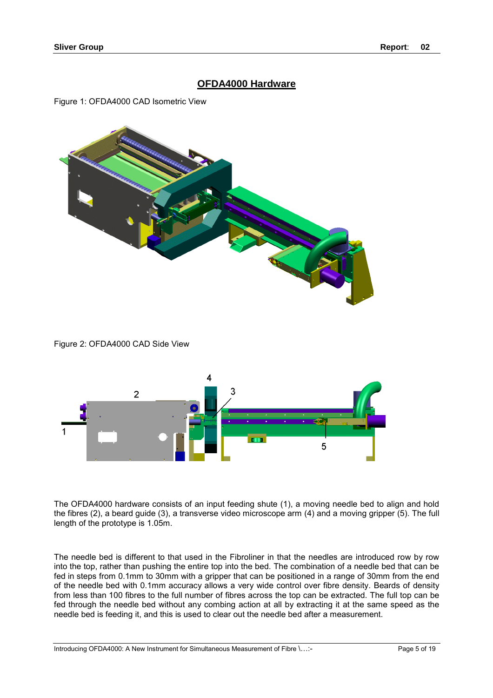# **OFDA4000 Hardware**

Figure 1: OFDA4000 CAD Isometric View



Figure 2: OFDA4000 CAD Side View



The OFDA4000 hardware consists of an input feeding shute (1), a moving needle bed to align and hold the fibres (2), a beard guide (3), a transverse video microscope arm (4) and a moving gripper (5). The full length of the prototype is 1.05m.

The needle bed is different to that used in the Fibroliner in that the needles are introduced row by row into the top, rather than pushing the entire top into the bed. The combination of a needle bed that can be fed in steps from 0.1mm to 30mm with a gripper that can be positioned in a range of 30mm from the end of the needle bed with 0.1mm accuracy allows a very wide control over fibre density. Beards of density from less than 100 fibres to the full number of fibres across the top can be extracted. The full top can be fed through the needle bed without any combing action at all by extracting it at the same speed as the needle bed is feeding it, and this is used to clear out the needle bed after a measurement.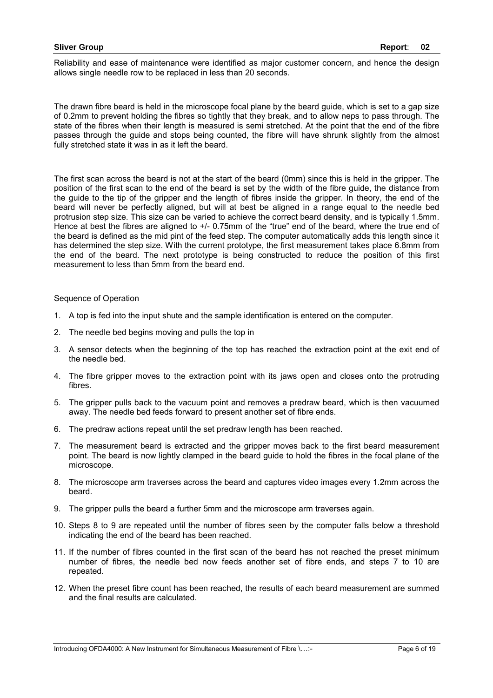Reliability and ease of maintenance were identified as major customer concern, and hence the design allows single needle row to be replaced in less than 20 seconds.

The drawn fibre beard is held in the microscope focal plane by the beard guide, which is set to a gap size of 0.2mm to prevent holding the fibres so tightly that they break, and to allow neps to pass through. The state of the fibres when their length is measured is semi stretched. At the point that the end of the fibre passes through the guide and stops being counted, the fibre will have shrunk slightly from the almost fully stretched state it was in as it left the beard.

The first scan across the beard is not at the start of the beard (0mm) since this is held in the gripper. The position of the first scan to the end of the beard is set by the width of the fibre guide, the distance from the guide to the tip of the gripper and the length of fibres inside the gripper. In theory, the end of the beard will never be perfectly aligned, but will at best be aligned in a range equal to the needle bed protrusion step size. This size can be varied to achieve the correct beard density, and is typically 1.5mm. Hence at best the fibres are aligned to +/- 0.75mm of the "true" end of the beard, where the true end of the beard is defined as the mid pint of the feed step. The computer automatically adds this length since it has determined the step size. With the current prototype, the first measurement takes place 6.8mm from the end of the beard. The next prototype is being constructed to reduce the position of this first measurement to less than 5mm from the beard end.

### Sequence of Operation

- 1. A top is fed into the input shute and the sample identification is entered on the computer.
- 2. The needle bed begins moving and pulls the top in
- 3. A sensor detects when the beginning of the top has reached the extraction point at the exit end of the needle bed.
- 4. The fibre gripper moves to the extraction point with its jaws open and closes onto the protruding fibres.
- 5. The gripper pulls back to the vacuum point and removes a predraw beard, which is then vacuumed away. The needle bed feeds forward to present another set of fibre ends.
- 6. The predraw actions repeat until the set predraw length has been reached.
- 7. The measurement beard is extracted and the gripper moves back to the first beard measurement point. The beard is now lightly clamped in the beard guide to hold the fibres in the focal plane of the microscope.
- 8. The microscope arm traverses across the beard and captures video images every 1.2mm across the beard.
- 9. The gripper pulls the beard a further 5mm and the microscope arm traverses again.
- 10. Steps 8 to 9 are repeated until the number of fibres seen by the computer falls below a threshold indicating the end of the beard has been reached.
- 11. If the number of fibres counted in the first scan of the beard has not reached the preset minimum number of fibres, the needle bed now feeds another set of fibre ends, and steps 7 to 10 are repeated.
- 12. When the preset fibre count has been reached, the results of each beard measurement are summed and the final results are calculated.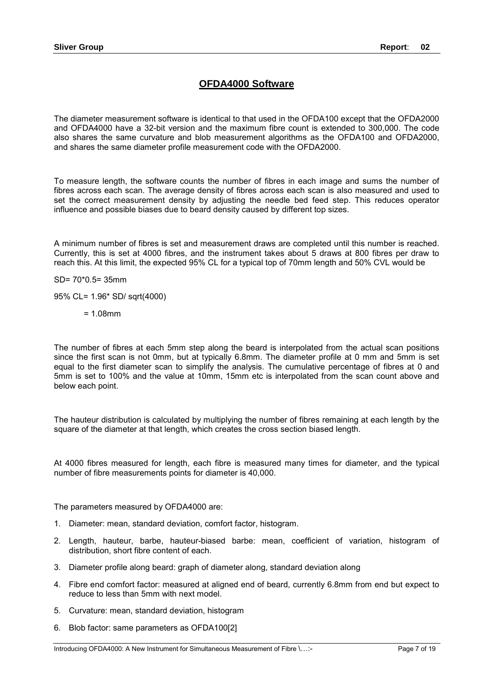# **OFDA4000 Software**

The diameter measurement software is identical to that used in the OFDA100 except that the OFDA2000 and OFDA4000 have a 32-bit version and the maximum fibre count is extended to 300,000. The code also shares the same curvature and blob measurement algorithms as the OFDA100 and OFDA2000, and shares the same diameter profile measurement code with the OFDA2000.

To measure length, the software counts the number of fibres in each image and sums the number of fibres across each scan. The average density of fibres across each scan is also measured and used to set the correct measurement density by adjusting the needle bed feed step. This reduces operator influence and possible biases due to beard density caused by different top sizes.

A minimum number of fibres is set and measurement draws are completed until this number is reached. Currently, this is set at 4000 fibres, and the instrument takes about 5 draws at 800 fibres per draw to reach this. At this limit, the expected 95% CL for a typical top of 70mm length and 50% CVL would be

SD= 70\*0.5= 35mm

95% CL= 1.96\* SD/ sqrt(4000)

 $= 1.08$ mm

The number of fibres at each 5mm step along the beard is interpolated from the actual scan positions since the first scan is not 0mm, but at typically 6.8mm. The diameter profile at 0 mm and 5mm is set equal to the first diameter scan to simplify the analysis. The cumulative percentage of fibres at 0 and 5mm is set to 100% and the value at 10mm, 15mm etc is interpolated from the scan count above and below each point.

The hauteur distribution is calculated by multiplying the number of fibres remaining at each length by the square of the diameter at that length, which creates the cross section biased length.

At 4000 fibres measured for length, each fibre is measured many times for diameter, and the typical number of fibre measurements points for diameter is 40,000.

The parameters measured by OFDA4000 are:

- 1. Diameter: mean, standard deviation, comfort factor, histogram.
- 2. Length, hauteur, barbe, hauteur-biased barbe: mean, coefficient of variation, histogram of distribution, short fibre content of each.
- 3. Diameter profile along beard: graph of diameter along, standard deviation along
- 4. Fibre end comfort factor: measured at aligned end of beard, currently 6.8mm from end but expect to reduce to less than 5mm with next model.
- 5. Curvature: mean, standard deviation, histogram
- 6. Blob factor: same parameters as OFDA100[2]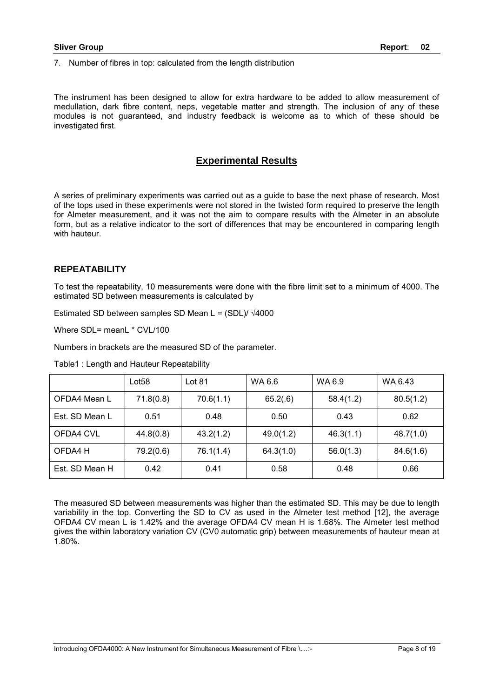7. Number of fibres in top: calculated from the length distribution

The instrument has been designed to allow for extra hardware to be added to allow measurement of medullation, dark fibre content, neps, vegetable matter and strength. The inclusion of any of these modules is not guaranteed, and industry feedback is welcome as to which of these should be investigated first.

## **Experimental Results**

A series of preliminary experiments was carried out as a guide to base the next phase of research. Most of the tops used in these experiments were not stored in the twisted form required to preserve the length for Almeter measurement, and it was not the aim to compare results with the Almeter in an absolute form, but as a relative indicator to the sort of differences that may be encountered in comparing length with hauteur.

### **REPEATABILITY**

To test the repeatability, 10 measurements were done with the fibre limit set to a minimum of 4000. The estimated SD between measurements is calculated by

Estimated SD between samples SD Mean L =  $(SDL)/\sqrt{4000}$ 

Where SDL= meanL \* CVL/100

Numbers in brackets are the measured SD of the parameter.

Table1 : Length and Hauteur Repeatability

|                | Lot <sub>58</sub> | Lot $81$  | WA 6.6    | WA 6.9    | WA 6.43   |
|----------------|-------------------|-----------|-----------|-----------|-----------|
| OFDA4 Mean L   | 71.8(0.8)         | 70.6(1.1) | 65.2(.6)  | 58.4(1.2) | 80.5(1.2) |
| Est. SD Mean L | 0.51              | 0.48      | 0.50      | 0.43      | 0.62      |
| OFDA4 CVL      | 44.8(0.8)         | 43.2(1.2) | 49.0(1.2) | 46.3(1.1) | 48.7(1.0) |
| OFDA4 H        | 79.2(0.6)         | 76.1(1.4) | 64.3(1.0) | 56.0(1.3) | 84.6(1.6) |
| Est. SD Mean H | 0.42              | 0.41      | 0.58      | 0.48      | 0.66      |

The measured SD between measurements was higher than the estimated SD. This may be due to length variability in the top. Converting the SD to CV as used in the Almeter test method [12], the average OFDA4 CV mean L is 1.42% and the average OFDA4 CV mean H is 1.68%. The Almeter test method gives the within laboratory variation CV (CV0 automatic grip) between measurements of hauteur mean at 1.80%.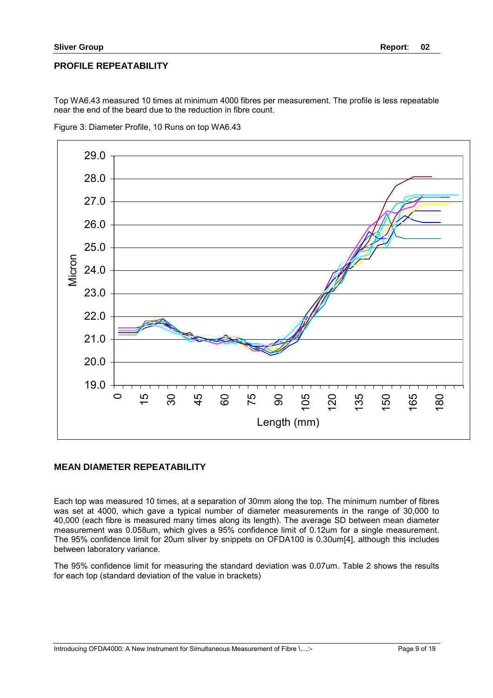## **PROFILE REPEATABILITY**

Top WA6.43 measured 10 times at minimum 4000 fibres per measurement. The profile is less repeatable near the end of the beard due to the reduction in fibre count.



Figure 3: Diameter Profile, 10 Runs on top WA6.43

## **MEAN DIAMETER REPEATABILITY**

Each top was measured 10 times, at a separation of 30mm along the top. The minimum number of fibres was set at 4000, which gave a typical number of diameter measurements in the range of 30,000 to 40,000 (each fibre is measured many times along its length). The average SD between mean diameter measurement was 0.058um, which gives a 95% confidence limit of 0.12um for a single measurement. The 95% confidence limit for 20um sliver by snippets on OFDA100 is 0.30um[4], although this includes between laboratory variance.

The 95% confidence limit for measuring the standard deviation was 0.07um. Table 2 shows the results for each top (standard deviation of the value in brackets)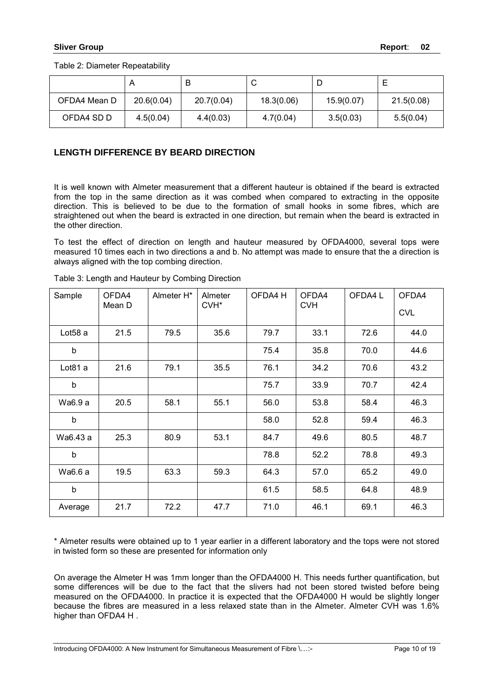Table 2: Diameter Repeatability

|              |            | В          |            | ◡          |            |
|--------------|------------|------------|------------|------------|------------|
| OFDA4 Mean D | 20.6(0.04) | 20.7(0.04) | 18.3(0.06) | 15.9(0.07) | 21.5(0.08) |
| OFDA4 SD D   | 4.5(0.04)  | 4.4(0.03)  | 4.7(0.04)  | 3.5(0.03)  | 5.5(0.04)  |

## **LENGTH DIFFERENCE BY BEARD DIRECTION**

It is well known with Almeter measurement that a different hauteur is obtained if the beard is extracted from the top in the same direction as it was combed when compared to extracting in the opposite direction. This is believed to be due to the formation of small hooks in some fibres, which are straightened out when the beard is extracted in one direction, but remain when the beard is extracted in the other direction.

To test the effect of direction on length and hauteur measured by OFDA4000, several tops were measured 10 times each in two directions a and b. No attempt was made to ensure that the a direction is always aligned with the top combing direction.

| Sample              | OFDA4<br>Mean D | Almeter H* | Almeter<br>CVH <sup>*</sup> | OFDA4 H | OFDA4<br><b>CVH</b> | OFDA4L | OFDA4<br><b>CVL</b> |
|---------------------|-----------------|------------|-----------------------------|---------|---------------------|--------|---------------------|
| Lot <sub>58</sub> a | 21.5            | 79.5       | 35.6                        | 79.7    | 33.1                | 72.6   | 44.0                |
| b                   |                 |            |                             | 75.4    | 35.8                | 70.0   | 44.6                |
| Lot81 a             | 21.6            | 79.1       | 35.5                        | 76.1    | 34.2                | 70.6   | 43.2                |
| b                   |                 |            |                             | 75.7    | 33.9                | 70.7   | 42.4                |
| Wa6.9 a             | 20.5            | 58.1       | 55.1                        | 56.0    | 53.8                | 58.4   | 46.3                |
| b                   |                 |            |                             | 58.0    | 52.8                | 59.4   | 46.3                |
| Wa6.43 a            | 25.3            | 80.9       | 53.1                        | 84.7    | 49.6                | 80.5   | 48.7                |
| b                   |                 |            |                             | 78.8    | 52.2                | 78.8   | 49.3                |
| Wa6.6 a             | 19.5            | 63.3       | 59.3                        | 64.3    | 57.0                | 65.2   | 49.0                |
| $\sf b$             |                 |            |                             | 61.5    | 58.5                | 64.8   | 48.9                |
| Average             | 21.7            | 72.2       | 47.7                        | 71.0    | 46.1                | 69.1   | 46.3                |

Table 3: Length and Hauteur by Combing Direction

\* Almeter results were obtained up to 1 year earlier in a different laboratory and the tops were not stored in twisted form so these are presented for information only

On average the Almeter H was 1mm longer than the OFDA4000 H. This needs further quantification, but some differences will be due to the fact that the slivers had not been stored twisted before being measured on the OFDA4000. In practice it is expected that the OFDA4000 H would be slightly longer because the fibres are measured in a less relaxed state than in the Almeter. Almeter CVH was 1.6% higher than OFDA4 H .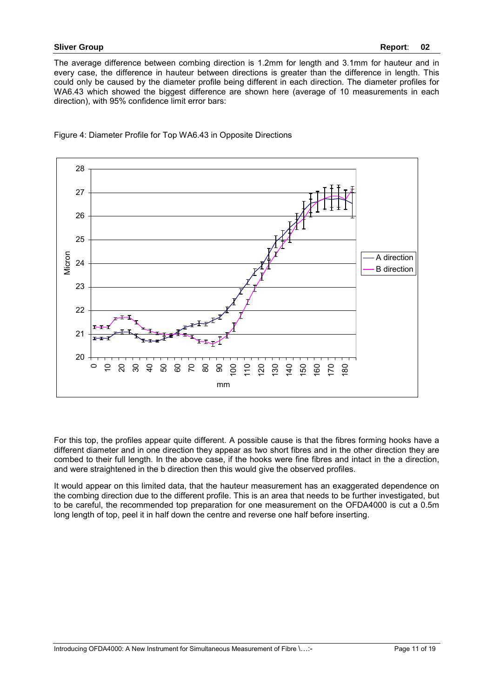The average difference between combing direction is 1.2mm for length and 3.1mm for hauteur and in every case, the difference in hauteur between directions is greater than the difference in length. This could only be caused by the diameter profile being different in each direction. The diameter profiles for WA6.43 which showed the biggest difference are shown here (average of 10 measurements in each direction), with 95% confidence limit error bars:



Figure 4: Diameter Profile for Top WA6.43 in Opposite Directions

For this top, the profiles appear quite different. A possible cause is that the fibres forming hooks have a different diameter and in one direction they appear as two short fibres and in the other direction they are combed to their full length. In the above case, if the hooks were fine fibres and intact in the a direction, and were straightened in the b direction then this would give the observed profiles.

It would appear on this limited data, that the hauteur measurement has an exaggerated dependence on the combing direction due to the different profile. This is an area that needs to be further investigated, but to be careful, the recommended top preparation for one measurement on the OFDA4000 is cut a 0.5m long length of top, peel it in half down the centre and reverse one half before inserting.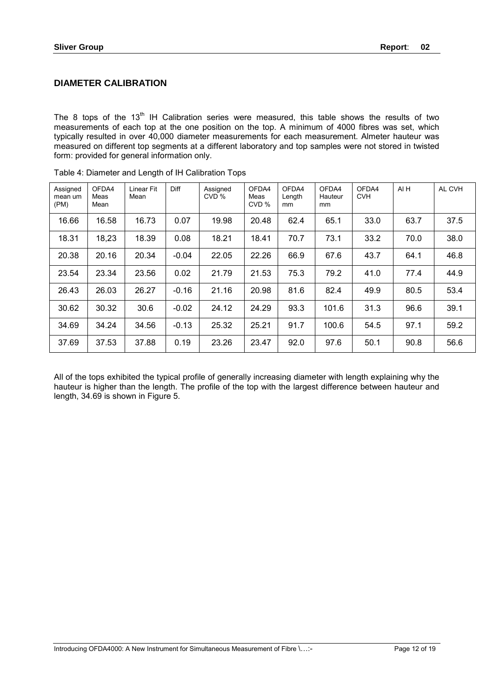# **DIAMETER CALIBRATION**

The 8 tops of the  $13<sup>th</sup>$  IH Calibration series were measured, this table shows the results of two measurements of each top at the one position on the top. A minimum of 4000 fibres was set, which typically resulted in over 40,000 diameter measurements for each measurement. Almeter hauteur was measured on different top segments at a different laboratory and top samples were not stored in twisted form: provided for general information only.

| Assigned<br>mean um<br>(PM) | OFDA4<br>Meas<br>Mean | Linear Fit<br>Mean | Diff    | Assigned<br>CVD % | OFDA4<br>Meas<br>CVD % | OFDA4<br>Length<br>mm | OFDA4<br>Hauteur<br>mm | OFDA4<br><b>CVH</b> | AI H | AL CVH |
|-----------------------------|-----------------------|--------------------|---------|-------------------|------------------------|-----------------------|------------------------|---------------------|------|--------|
| 16.66                       | 16.58                 | 16.73              | 0.07    | 19.98             | 20.48                  | 62.4                  | 65.1                   | 33.0                | 63.7 | 37.5   |
| 18.31                       | 18,23                 | 18.39              | 0.08    | 18.21             | 18.41                  | 70.7                  | 73.1                   | 33.2                | 70.0 | 38.0   |
| 20.38                       | 20.16                 | 20.34              | $-0.04$ | 22.05             | 22.26                  | 66.9                  | 67.6                   | 43.7                | 64.1 | 46.8   |
| 23.54                       | 23.34                 | 23.56              | 0.02    | 21.79             | 21.53                  | 75.3                  | 79.2                   | 41.0                | 77.4 | 44.9   |
| 26.43                       | 26.03                 | 26.27              | $-0.16$ | 21.16             | 20.98                  | 81.6                  | 82.4                   | 49.9                | 80.5 | 53.4   |
| 30.62                       | 30.32                 | 30.6               | $-0.02$ | 24.12             | 24.29                  | 93.3                  | 101.6                  | 31.3                | 96.6 | 39.1   |
| 34.69                       | 34.24                 | 34.56              | $-0.13$ | 25.32             | 25.21                  | 91.7                  | 100.6                  | 54.5                | 97.1 | 59.2   |
| 37.69                       | 37.53                 | 37.88              | 0.19    | 23.26             | 23.47                  | 92.0                  | 97.6                   | 50.1                | 90.8 | 56.6   |

All of the tops exhibited the typical profile of generally increasing diameter with length explaining why the hauteur is higher than the length. The profile of the top with the largest difference between hauteur and length, 34.69 is shown in Figure 5.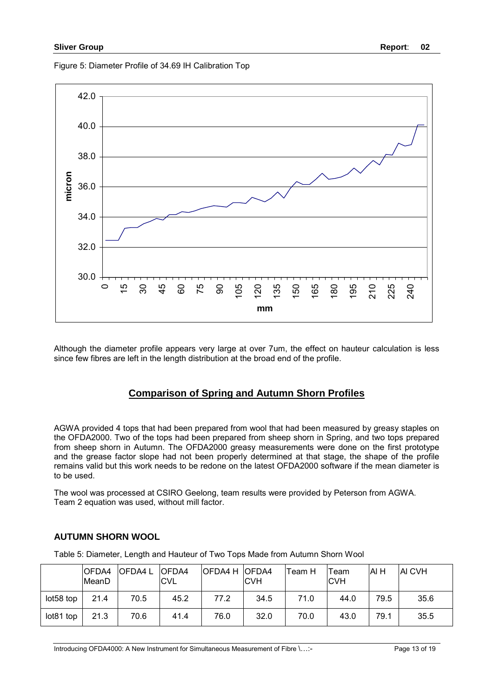Figure 5: Diameter Profile of 34.69 IH Calibration Top



Although the diameter profile appears very large at over 7um, the effect on hauteur calculation is less since few fibres are left in the length distribution at the broad end of the profile.

# **Comparison of Spring and Autumn Shorn Profiles**

AGWA provided 4 tops that had been prepared from wool that had been measured by greasy staples on the OFDA2000. Two of the tops had been prepared from sheep shorn in Spring, and two tops prepared from sheep shorn in Autumn. The OFDA2000 greasy measurements were done on the first prototype and the grease factor slope had not been properly determined at that stage, the shape of the profile remains valid but this work needs to be redone on the latest OFDA2000 software if the mean diameter is to be used.

The wool was processed at CSIRO Geelong, team results were provided by Peterson from AGWA. Team 2 equation was used, without mill factor.

|           | OFDA4<br>MeanD | <b>OFDA4L</b> | <b>OFDA4</b><br><b>CVL</b> | OFDA4 H OFDA4 | <b>CVH</b> | Team H | Team<br><b>CVH</b> | AI H | <b>AI CVH</b> |
|-----------|----------------|---------------|----------------------------|---------------|------------|--------|--------------------|------|---------------|
| lot58 top | 21.4           | 70.5          | 45.2                       | 77.2          | 34.5       | 71.0   | 44.0               | 79.5 | 35.6          |
| lot81 top | 21.3           | 70.6          | 41.4                       | 76.0          | 32.0       | 70.0   | 43.0               | 79.1 | 35.5          |

## **AUTUMN SHORN WOOL**

Table 5: Diameter, Length and Hauteur of Two Tops Made from Autumn Shorn Wool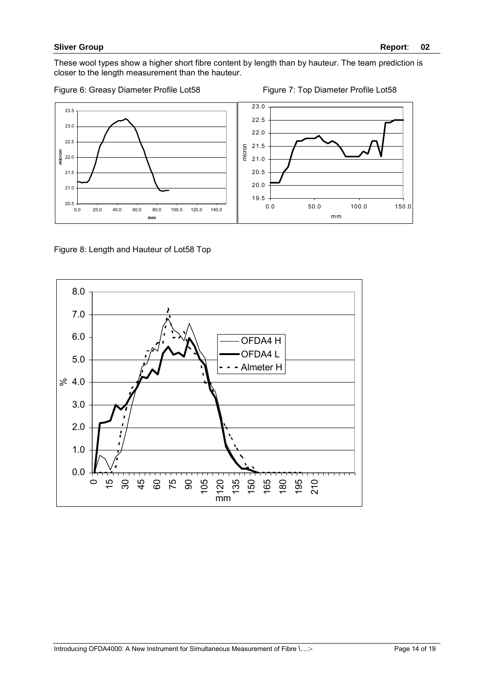These wool types show a higher short fibre content by length than by hauteur. The team prediction is closer to the length measurement than the hauteur.

Figure 6: Greasy Diameter Profile Lot58 Figure 7: Top Diameter Profile Lot58



Figure 8: Length and Hauteur of Lot58 Top

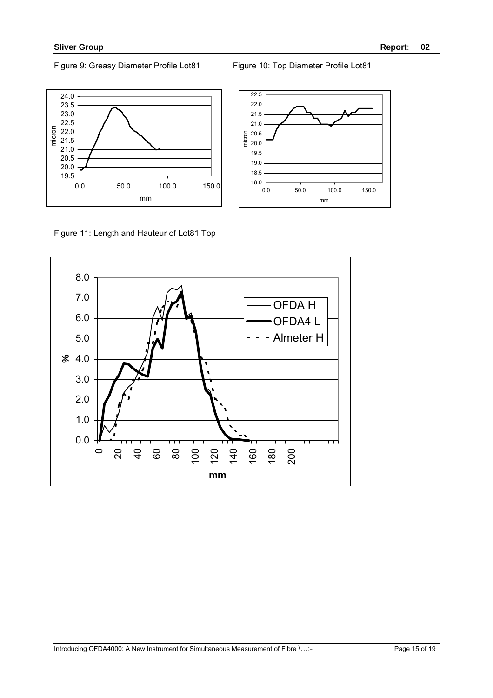### Figure 9: Greasy Diameter Profile Lot81 Figure 10: Top Diameter Profile Lot81

0.0 50.0 100.0 150.0 mm

18.0 18.5 19.0 19.5 20.0 20.5 21.0 21.5 22.0 22.5

micron



Figure 11: Length and Hauteur of Lot81 Top

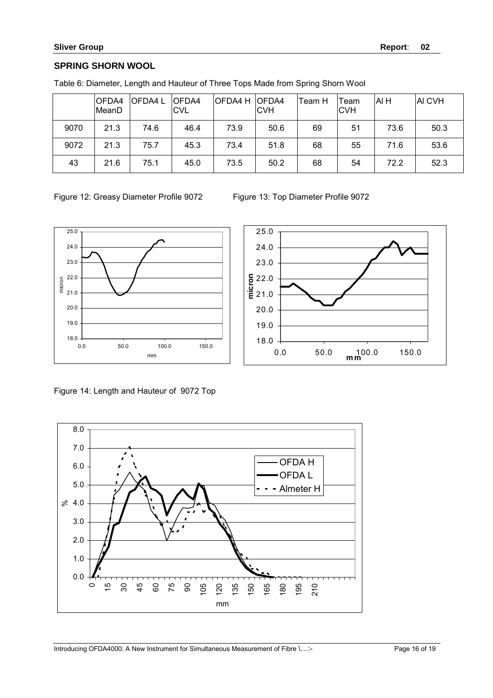# **SPRING SHORN WOOL**

|      | OFDA4<br>MeanD | OFDA4 L | <b>OFDA4</b><br><b>CVL</b> | <b>OFDA4 H</b> | <b>OFDA4</b><br><b>CVH</b> | lTeam H | Team<br><b>CVH</b> | AI H | <b>AI CVH</b> |
|------|----------------|---------|----------------------------|----------------|----------------------------|---------|--------------------|------|---------------|
| 9070 | 21.3           | 74.6    | 46.4                       | 73.9           | 50.6                       | 69      | 51                 | 73.6 | 50.3          |
| 9072 | 21.3           | 75.7    | 45.3                       | 73.4           | 51.8                       | 68      | 55                 | 71.6 | 53.6          |
| 43   | 21.6           | 75.1    | 45.0                       | 73.5           | 50.2                       | 68      | 54                 | 72.2 | 52.3          |

Table 6: Diameter, Length and Hauteur of Three Tops Made from Spring Shorn Wool





Figure 14: Length and Hauteur of 9072 Top

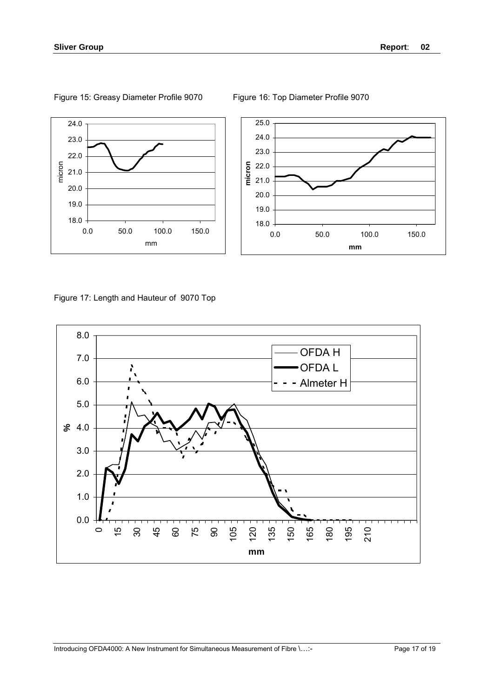



Figure 15: Greasy Diameter Profile 9070 Figure 16: Top Diameter Profile 9070

Figure 17: Length and Hauteur of 9070 Top

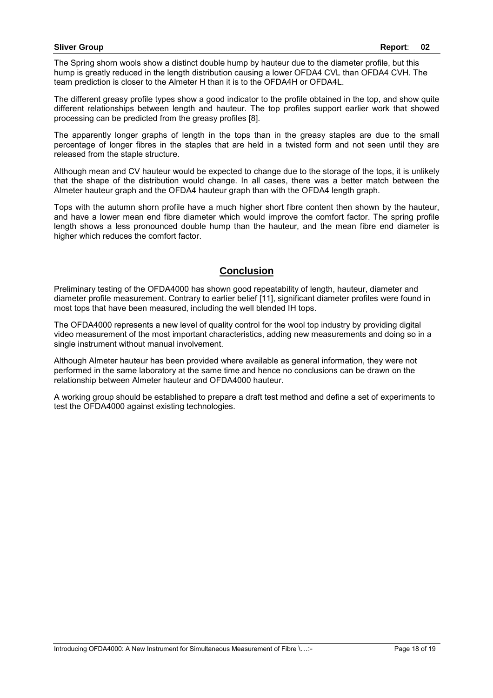The Spring shorn wools show a distinct double hump by hauteur due to the diameter profile, but this hump is greatly reduced in the length distribution causing a lower OFDA4 CVL than OFDA4 CVH. The team prediction is closer to the Almeter H than it is to the OFDA4H or OFDA4L.

The different greasy profile types show a good indicator to the profile obtained in the top, and show quite different relationships between length and hauteur. The top profiles support earlier work that showed processing can be predicted from the greasy profiles [8].

The apparently longer graphs of length in the tops than in the greasy staples are due to the small percentage of longer fibres in the staples that are held in a twisted form and not seen until they are released from the staple structure.

Although mean and CV hauteur would be expected to change due to the storage of the tops, it is unlikely that the shape of the distribution would change. In all cases, there was a better match between the Almeter hauteur graph and the OFDA4 hauteur graph than with the OFDA4 length graph.

Tops with the autumn shorn profile have a much higher short fibre content then shown by the hauteur, and have a lower mean end fibre diameter which would improve the comfort factor. The spring profile length shows a less pronounced double hump than the hauteur, and the mean fibre end diameter is higher which reduces the comfort factor.

# **Conclusion**

Preliminary testing of the OFDA4000 has shown good repeatability of length, hauteur, diameter and diameter profile measurement. Contrary to earlier belief [11], significant diameter profiles were found in most tops that have been measured, including the well blended IH tops.

The OFDA4000 represents a new level of quality control for the wool top industry by providing digital video measurement of the most important characteristics, adding new measurements and doing so in a single instrument without manual involvement.

Although Almeter hauteur has been provided where available as general information, they were not performed in the same laboratory at the same time and hence no conclusions can be drawn on the relationship between Almeter hauteur and OFDA4000 hauteur.

A working group should be established to prepare a draft test method and define a set of experiments to test the OFDA4000 against existing technologies.